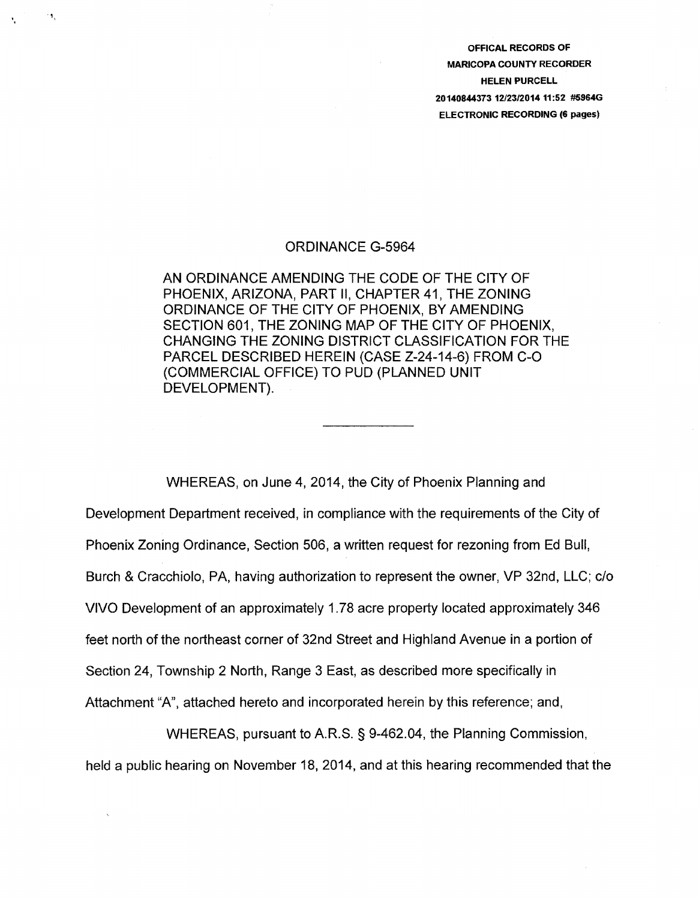OFFICAL RECORDS OF MARICOPA COUNTY RECORDER HELEN PURCELL 20140844373 12/23/201411:52 #5964G ELECTRONIC RECORDING (6 pages)

## ORDINANCE G-5964

',

١ŧ,

AN ORDINANCE AMENDING THE CODE OF THE CITY OF PHOENIX, ARIZONA, PART II, CHAPTER 41, THE ZONING ORDINANCE OF THE CITY OF PHOENIX, BY AMENDING SECTION 601, THE ZONING MAP OF THE CITY OF PHOENIX, CHANGING THE ZONING DISTRICT CLASSIFICATION FOR THE PARCEL DESCRIBED HEREIN (CASE Z-24-14-6) FROM C-0 (COMMERCIAL OFFICE) TO PUD (PLANNED UNIT DEVELOPMENT).

WHEREAS, on June 4, 2014, the City of Phoenix Planning and Development Department received, in compliance with the requirements of the City of Phoenix Zoning Ordinance, Section 506, a written request for rezoning from Ed Bull, Burch & Cracchiolo, PA, having authorization to represent the owner, VP 32nd, LLC; c/o VIVO Development of an approximately 1. 78 acre property located approximately 346 feet north of the northeast corner of 32nd Street and Highland Avenue in a portion of Section 24, Township 2 North, Range 3 East, as described more specifically in Attachment "A", attached hereto and incorporated herein by this reference; and,

WHEREAS, pursuant to A.R.S. § 9-462.04, the Planning Commission, held a public hearing on November 18, 2014, and at this hearing recommended that the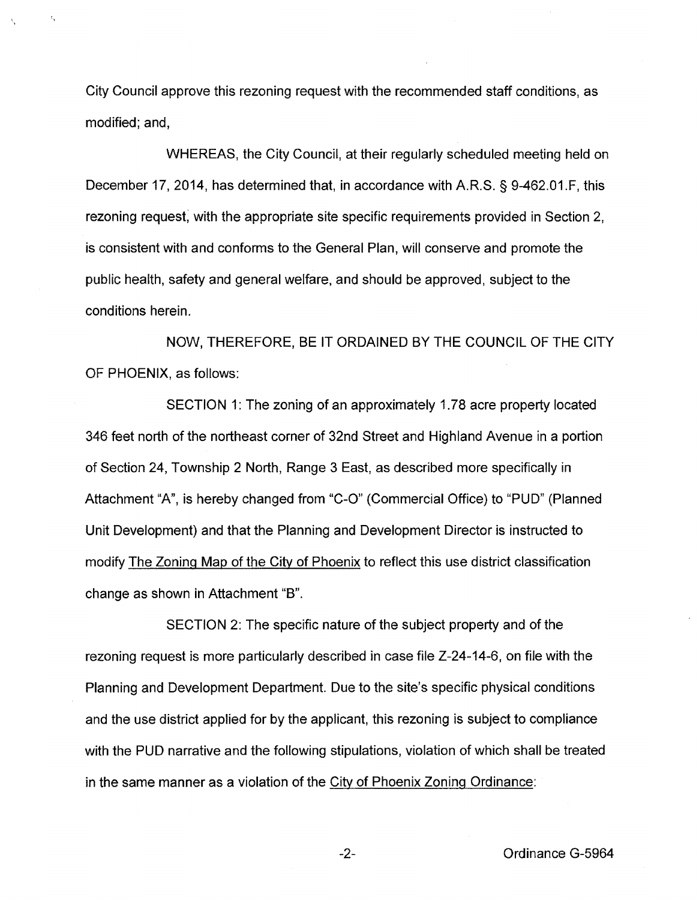City Council approve this rezoning request with the recommended staff conditions, as modified; and,

ł,

WHEREAS, the City Council, at their regularly scheduled meeting held on December 17, 2014, has determined that, in accordance with A.R.S. § 9-462.01.F, this rezoning request; with the appropriate site specific requirements provided in Section 2, is consistent with and conforms to the General Plan, will conserve and promote the public health, safety and general welfare, and should be approved, subject to the conditions herein.

NOW, THEREFORE, BE IT ORDAINED BY THE COUNCIL OF THE CITY OF PHOENIX, as follows:

SECTION 1: The zoning of an approximately 1. 78 acre property located 346 feet north of the northeast corner of 32nd Street and Highland Avenue in a portion of Section 24, Township 2 North, Range 3 East, as described more specifically in Attachment "A", is hereby changed from "C-0" (Commercial Office) to "PUD" (Planned Unit Development) and that the Planning and Development Director is instructed to modify The Zoning Map of the City of Phoenix to reflect this use district classification change as shown in Attachment "B".

SECTION 2: The specific nature of the subject property and of the rezoning request is more particularly described in case file Z-24-14-6, on file with the Planning and Development Department. Due to the site's specific physical conditions and the use district applied for by the applicant, this rezoning is subject to compliance with the PUD narrative and the following stipulations, violation of which shall be treated in the same manner as a violation of the City of Phoenix Zoning Ordinance: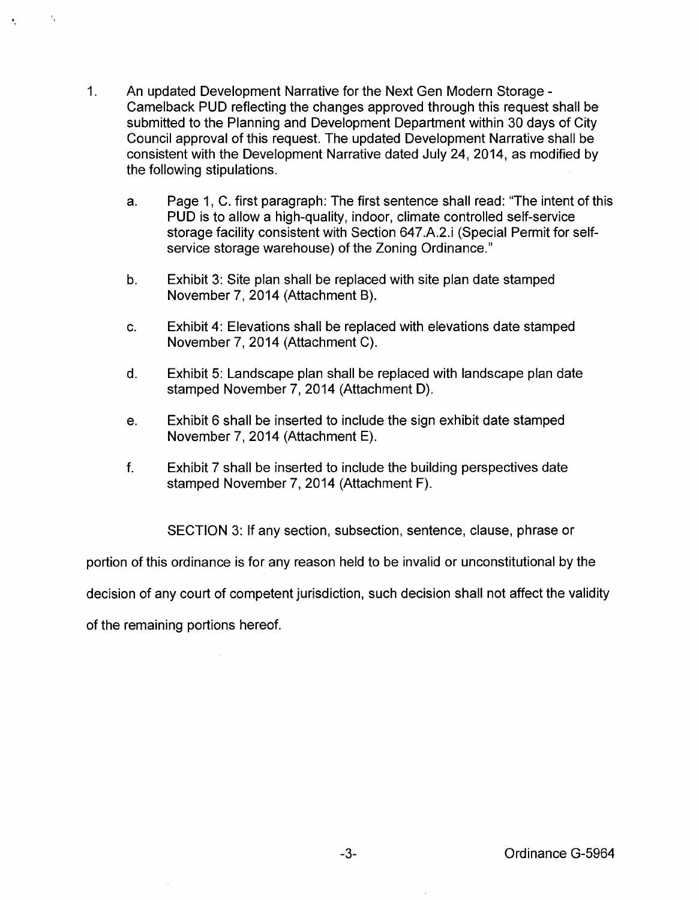1. An updated Development Narrative for the Next Gen Modern Storage - Camelback PUD reflecting the changes approved through this request shall be submitted to the Planning and Development Department within 30 days of City Council approval of this request. The updated Development Narrative shall be consistent with the Development Narrative dated July 24, 2014, as modified by the following stipulations.

 $\epsilon_{\rm r}$ 

- a. Page 1, C. first paragraph: The first sentence shall read: "The intent of this PUD is to allow a high-quality, indoor, climate controlled self-service storage facility consistent with Section 647.A.2.i (Special Permit for selfservice storage warehouse) of the Zoning Ordinance."
- b. Exhibit 3: Site plan shall be replaced with site plan date stamped November 7, 2014 (Attachment B).
- c. Exhibit 4: Elevations shall be replaced with elevations date stamped November 7, 2014 (Attachment C).
- d. Exhibit 5: Landscape plan shall be replaced with landscape plan date stamped November 7, 2014 (Attachment D).
- e. Exhibit 6 shall be inserted to include the sign exhibit date stamped November 7, 2014 (Attachment E).
- f. Exhibit 7 shall be inserted to include the building perspectives date stamped November 7, 2014 (Attachment F).

SECTION 3: If any section, subsection, sentence, clause, phrase or portion of this ordinance is for any reason held to be invalid or unconstitutional by the decision of any court of competent jurisdiction, such decision shall not affect the validity of the remaining portions hereof.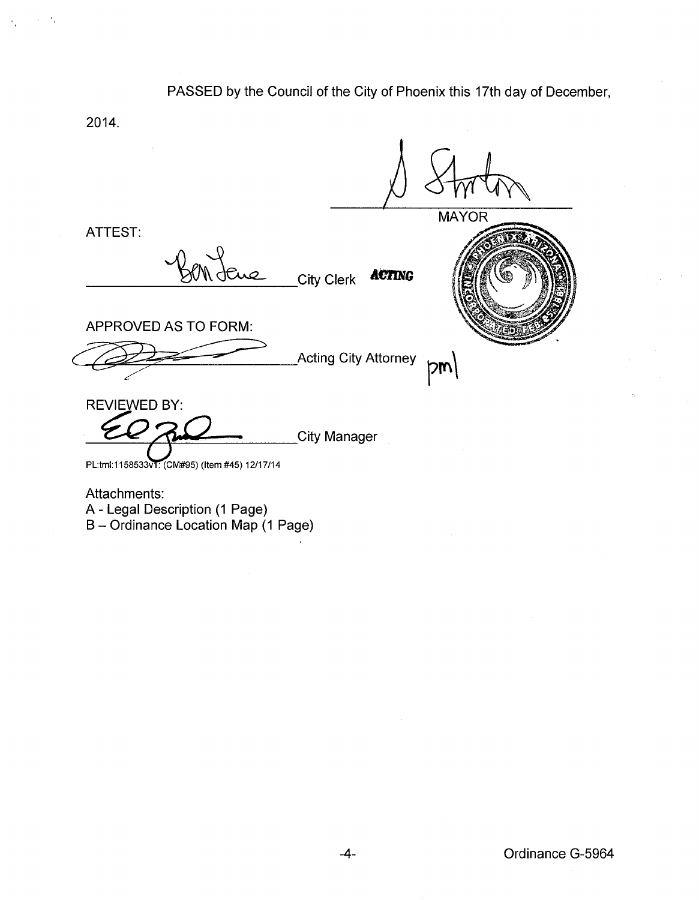# PASSED by the Council of the City of Phoenix this 17th day of December,

2014.

 $\epsilon_{\rm t}$ 

**MAYOR** ATTEST: Where City Clerk **ACTING**  $\overbrace{\text{APPROVED}}$  AS TO FORM:<br>Acting City Attorney  $\overbrace{\text{pm}}$ APPROVED AS TO FORM: REVIEWED BY: City Manager PL:tml:1158533v1: (CM#95) (Item #45) 12/17/14 Attachments:

A- Legal Description (1 Page)

B- Ordinance Location Map (1 Page)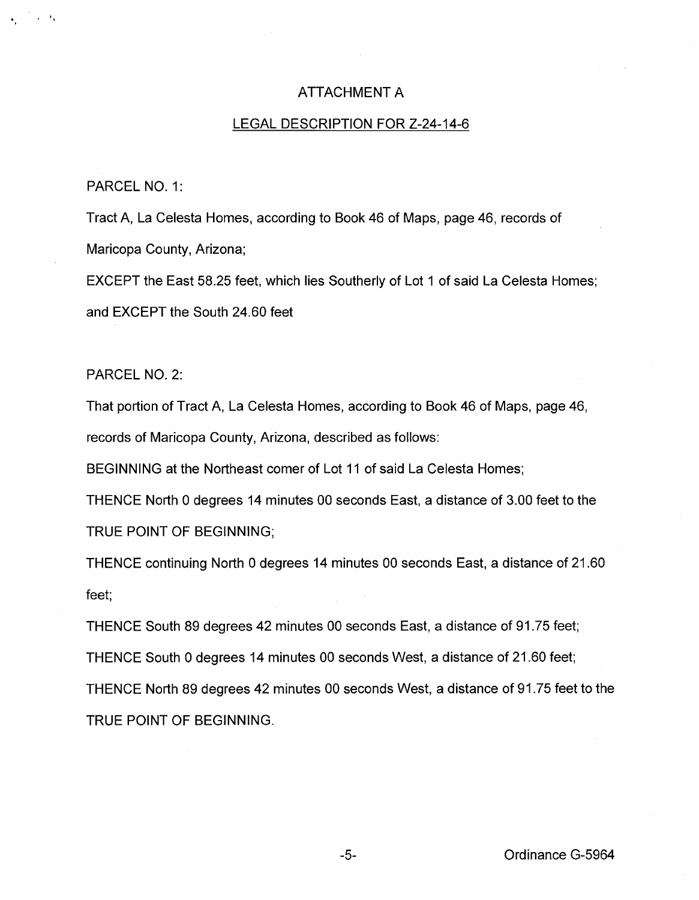## ATTACHMENT A

#### LEGAL DESCRIPTION FOR Z-24-14-6

#### PARCEL NO. 1:

'•

Tract A, La Celesta Homes, according to Book 46 of Maps, page 46, records of Maricopa County, Arizona;

EXCEPT the East 58.25 feet, which lies Southerly of Lot 1 of said La Celesta Homes; and EXCEPT the South 24.60 feet

PARCEL NO. 2:

That portion of Tract A, La Celesta Homes, according to Book 46 of Maps, page 46, records of Maricopa County, Arizona, described as follows:

BEGINNING at the Northeast comer of Lot 11 of said La Celesta Homes;

THENCE North 0 degrees 14 minutes 00 seconds East, a distance of 3.00 feet to the TRUE POINT OF BEGINNING;

THENCE continuing North 0 degrees 14 minutes 00 seconds East, a distance of 21.60 feet;

THENCE South 89 degrees 42 minutes 00 seconds East, a distance of 91.75 feet; THENCE South 0 degrees 14 minutes 00 seconds West, a distance of 21.60 feet; THENCE North 89 degrees 42 minutes 00 seconds West, a distance of 91.75 feet to the TRUE POINT OF BEGINNING.